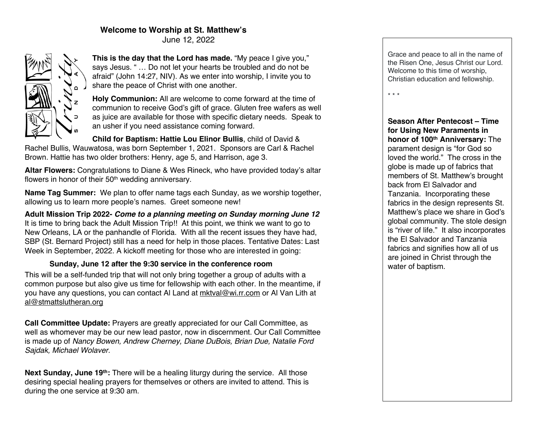# **Welcome to Worship at St. Matthew's**

June 12, 2022



**This is the day that the Lord has made.** "My peace I give you," says Jesus. " … Do not let your hearts be troubled and do not be afraid" (John 14:27, NIV). As we enter into worship, I invite you to share the peace of Christ with one another.

**Holy Communion:** All are welcome to come forward at the time of communion to receive God's gift of grace. Gluten free wafers as well as juice are available for those with specific dietary needs. Speak to an usher if you need assistance coming forward.

**Child for Baptism: Hattie Lou Elinor Bullis**, child of David & Rachel Bullis, Wauwatosa, was born September 1, 2021. Sponsors are Carl & Rachel Brown. Hattie has two older brothers: Henry, age 5, and Harrison, age 3.

**Altar Flowers:** Congratulations to Diane & Wes Rineck, who have provided today's altar flowers in honor of their 50<sup>th</sup> wedding anniversary.

**Name Tag Summer:** We plan to offer name tags each Sunday, as we worship together, allowing us to learn more people's names. Greet someone new!

**Adult Mission Trip 2022-** *Come to a planning meeting on Sunday morning June 12* It is time to bring back the Adult Mission Trip!! At this point, we think we want to go to New Orleans, LA or the panhandle of Florida. With all the recent issues they have had, SBP (St. Bernard Project) still has a need for help in those places. Tentative Dates: Last Week in September, 2022. A kickoff meeting for those who are interested in going:

# **Sunday, June 12 after the 9:30 service in the conference room**

This will be a self-funded trip that will not only bring together a group of adults with a common purpose but also give us time for fellowship with each other. In the meantime, if you have any questions, you can contact Al Land at mktval@wi.rr.com or Al Van Lith at al@stmattslutheran.org

**Call Committee Update:** Prayers are greatly appreciated for our Call Committee, as well as whomever may be our new lead pastor, now in discernment. Our Call Committee is made up of *Nancy Bowen, Andrew Cherney, Diane DuBois, Brian Due, Natalie Ford Sajdak, Michael Wolaver.*

**Next Sunday, June 19th:** There will be a healing liturgy during the service. All those desiring special healing prayers for themselves or others are invited to attend. This is during the one service at 9:30 am.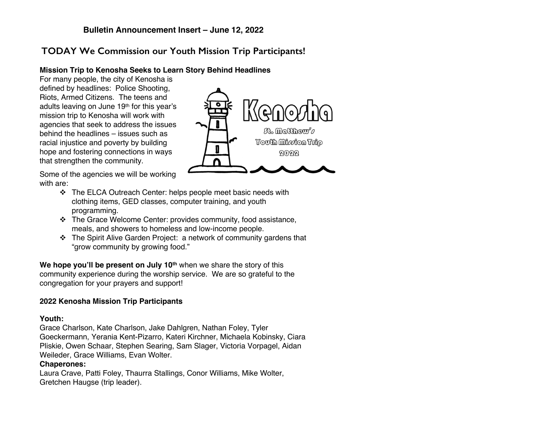# **Bulletin Announcement Insert – June 12, 2022**

# **TODAY We Commission our Youth Mission Trip Participants!**

# **Mission Trip to Kenosha Seeks to Learn Story Behind Headlines**

For many people, the city of Kenosha is defined by headlines: Police Shooting, Riots, Armed Citizens. The teens and adults leaving on June 19th for this year's mission trip to Kenosha will work with agencies that seek to address the issues behind the headlines – issues such as racial injustice and poverty by building hope and fostering connections in ways that strengthen the community.



Some of the agencies we will be working with are:

- $\div$  The ELCA Outreach Center: helps people meet basic needs with clothing items, GED classes, computer training, and youth programming.
- \* The Grace Welcome Center: provides community, food assistance, meals, and showers to homeless and low-income people.
- v The Spirit Alive Garden Project: a network of community gardens that "grow community by growing food."

We hope you'll be present on July 10<sup>th</sup> when we share the story of this community experience during the worship service. We are so grateful to the congregation for your prayers and support!

# **2022 Kenosha Mission Trip Participants**

#### **Youth:**

Grace Charlson, Kate Charlson, Jake Dahlgren, Nathan Foley, Tyler Goeckermann, Yerania Kent-Pizarro, Kateri Kirchner, Michaela Kobinsky, Ciara Pliskie, Owen Schaar, Stephen Searing, Sam Slager, Victoria Vorpagel, Aidan Weileder, Grace Williams, Evan Wolter.

#### **Chaperones:**

Laura Crave, Patti Foley, Thaurra Stallings, Conor Williams, Mike Wolter, Gretchen Haugse (trip leader).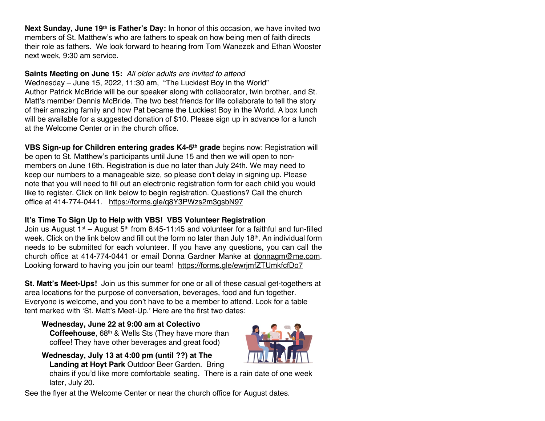**Next Sunday, June 19th is Father's Day:** In honor of this occasion, we have invited two members of St. Matthew's who are fathers to speak on how being men of faith directs their role as fathers. We look forward to hearing from Tom Wanezek and Ethan Wooster next week, 9:30 am service.

# **Saints Meeting on June 15:** *All older adults are invited to attend*

Wednesday – June 15, 2022, 11:30 am, "The Luckiest Boy in the World" Author Patrick McBride will be our speaker along with collaborator, twin brother, and St. Matt's member Dennis McBride. The two best friends for life collaborate to tell the story of their amazing family and how Pat became the Luckiest Boy in the World. A box lunch will be available for a suggested donation of \$10. Please sign up in advance for a lunch at the Welcome Center or in the church office.

**VBS Sign-up for Children entering grades K4-5th grade** begins now: Registration will be open to St. Matthew's participants until June 15 and then we will open to nonmembers on June 16th. Registration is due no later than July 24th. We may need to keep our numbers to a manageable size, so please don't delay in signing up. Please note that you will need to fill out an electronic registration form for each child you would like to register. Click on link below to begin registration. Questions? Call the church office at 414-774-0441. https://forms.gle/q8Y3PWzs2m3gsbN97

# **It's Time To Sign Up to Help with VBS! VBS Volunteer Registration**

Join us August  $1^{st}$  – August  $5^{th}$  from 8:45-11:45 and volunteer for a faithful and fun-filled week. Click on the link below and fill out the form no later than July 18th. An individual form needs to be submitted for each volunteer. If you have any questions, you can call the church office at 414-774-0441 or email Donna Gardner Manke at donnagm@me.com. Looking forward to having you join our team! https://forms.gle/ewrjmfZTUmkfcfDo7

**St. Matt's Meet-Ups!** Join us this summer for one or all of these casual get-togethers at area locations for the purpose of conversation, beverages, food and fun together. Everyone is welcome, and you don't have to be a member to attend. Look for a table tent marked with 'St. Matt's Meet-Up.' Here are the first two dates:

 **Wednesday, June 22 at 9:00 am at Colectivo Coffeehouse**, 68<sup>th</sup> & Wells Sts (They have more than coffee! They have other beverages and great food)

# **Wednesday, July 13 at 4:00 pm (until ??) at The Landing at Hoyt Park** Outdoor Beer Garden. Bring



chairs if you'd like more comfortable seating. There is a rain date of one week later, July 20.

See the flyer at the Welcome Center or near the church office for August dates.